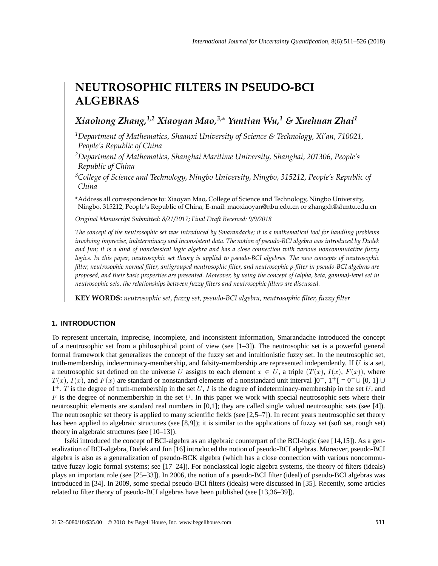# **NEUTROSOPHIC FILTERS IN PSEUDO-BCI ALGEBRAS**

## *Xiaohong Zhang,1,2 Xiaoyan Mao,3,*<sup>∗</sup> *Yuntian Wu,<sup>1</sup> & Xuehuan Zhai<sup>1</sup>*

- *<sup>1</sup>Department of Mathematics, Shaanxi University of Science & Technology, Xi'an, 710021, People's Republic of China*
- *<sup>2</sup>Department of Mathematics, Shanghai Maritime University, Shanghai, 201306, People's Republic of China*
- *<sup>3</sup>College of Science and Technology, Ningbo University, Ningbo, 315212, People's Republic of China*
- \*Address all correspondence to: Xiaoyan Mao, College of Science and Technology, Ningbo University, Ningbo, 315212, People's Republic of China, E-mail: maoxiaoyan@nbu.edu.cn or zhangxh@shmtu.edu.cn

*Original Manuscript Submitted: 8/21/2017; Final Draft Received: 9/9/2018*

*The concept of the neutrosophic set was introduced by Smarandache; it is a mathematical tool for handling problems involving imprecise, indeterminacy and inconsistent data. The notion of pseudo-BCI algebra was introduced by Dudek and Jun; it is a kind of nonclassical logic algebra and has a close connection with various noncommutative fuzzy logics. In this paper, neutrosophic set theory is applied to pseudo-BCI algebras. The new concepts of neutrosophic filter, neutrosophic normal filter, antigrouped neutrosophic filter, and neutrosophic p-filter in pseudo-BCI algebras are proposed, and their basic properties are presented. Moreover, by using the concept of (alpha, beta, gamma)-level set in neutrosophic sets, the relationships between fuzzy filters and neutrosophic filters are discussed.*

**KEY WORDS:** *neutrosophic set, fuzzy set, pseudo-BCI algebra, neutrosophic filter, fuzzy filter*

### **1. INTRODUCTION**

To represent uncertain, imprecise, incomplete, and inconsistent information, Smarandache introduced the concept of a neutrosophic set from a philosophical point of view (see [1–3]). The neutrosophic set is a powerful general formal framework that generalizes the concept of the fuzzy set and intuitionistic fuzzy set. In the neutrosophic set, truth-membership, indeterminacy-membership, and falsity-membership are represented independently. If  $U$  is a set, a neutrosophic set defined on the universe U assigns to each element  $x \in U$ , a triple  $(T(x), T(x), F(x))$ , where  $T(x)$ ,  $I(x)$ , and  $F(x)$  are standard or nonstandard elements of a nonstandard unit interval  $]0^-, 1^+[$  =  $0^- \cup [0, 1]$   $\cup$  $1^+$ . T is the degree of truth-membership in the set U, I is the degree of indeterminacy-membership in the set U, and  $F$  is the degree of nonmembership in the set  $U$ . In this paper we work with special neutrosophic sets where their neutrosophic elements are standard real numbers in [0,1]; they are called single valued neutrosophic sets (see [4]). The neutrosophic set theory is applied to many scientific fields (see [2,5–7]). In recent years neutrosophic set theory has been applied to algebraic structures (see [8,9]); it is similar to the applications of fuzzy set (soft set, rough set) theory in algebraic structures (see [10–13]).

Iseki introduced the concept of BCI-algebra as an algebraic counterpart of the BCI-logic (see [14,15]). As a gen- ´ eralization of BCI-algebra, Dudek and Jun [16] introduced the notion of pseudo-BCI algebras. Moreover, pseudo-BCI algebra is also as a generalization of pseudo-BCK algebra (which has a close connection with various noncommutative fuzzy logic formal systems; see [17–24]). For nonclassical logic algebra systems, the theory of filters (ideals) plays an important role (see [25–33]). In 2006, the notion of a pseudo-BCI filter (ideal) of pseudo-BCI algebras was introduced in [34]. In 2009, some special pseudo-BCI filters (ideals) were discussed in [35]. Recently, some articles related to filter theory of pseudo-BCI algebras have been published (see [13,36–39]).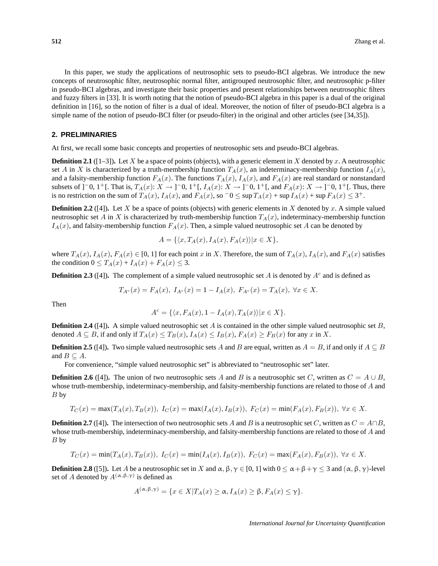In this paper, we study the applications of neutrosophic sets to pseudo-BCI algebras. We introduce the new concepts of neutrosophic filter, neutrosophic normal filter, antigrouped neutrosophic filter, and neutrosophic p-filter in pseudo-BCI algebras, and investigate their basic properties and present relationships between neutrosophic filters and fuzzy filters in [33]. It is worth noting that the notion of pseudo-BCI algebra in this paper is a dual of the original definition in [16], so the notion of filter is a dual of ideal. Moreover, the notion of filter of pseudo-BCI algebra is a simple name of the notion of pseudo-BCI filter (or pseudo-filter) in the original and other articles (see [34,35]).

#### **2. PRELIMINARIES**

At first, we recall some basic concepts and properties of neutrosophic sets and pseudo-BCI algebras.

**Definition 2.1** ( $[1-3]$ ). Let X be a space of points (objects), with a generic element in X denoted by x. A neutrosophic set A in X is characterized by a truth-membership function  $T_A(x)$ , an indeterminacy-membership function  $I_A(x)$ , and a falsity-membership function  $F_A(x)$ . The functions  $T_A(x)$ ,  $I_A(x)$ , and  $F_A(x)$  are real standard or nonstandard subsets of ]<sup>-</sup>0, 1<sup>+</sup>[. That is,  $T_A(x)$ :  $X \to$ ]<sup>-</sup>0, 1<sup>+</sup>[,  $I_A(x)$ :  $X \to$ ]<sup>-</sup>0, 1<sup>+</sup>[, and  $F_A(x)$ :  $X \to$ ]<sup>-</sup>0, 1<sup>+</sup>[. Thus, there is no restriction on the sum of  $T_A(x)$ ,  $I_A(x)$ , and  $F_A(x)$ , so  $\overline{\phantom{a}} 0 \leq \sup T_A(x) + \sup I_A(x) + \sup F_A(x) \leq 3^+$ .

**Definition 2.2** ([4]). Let X be a space of points (objects) with generic elements in X denoted by x. A simple valued neutrosophic set A in X is characterized by truth-membership function  $T_A(x)$ , indeterminacy-membership function  $I_A(x)$ , and falsity-membership function  $F_A(x)$ . Then, a simple valued neutrosophic set A can be denoted by

$$
A = \{ \langle x, T_A(x), I_A(x), F_A(x) \rangle | x \in X \},\
$$

where  $T_A(x)$ ,  $I_A(x)$ ,  $F_A(x) \in [0, 1]$  for each point x in X. Therefore, the sum of  $T_A(x)$ ,  $I_A(x)$ , and  $F_A(x)$  satisfies the condition  $0 \leq T_A(x) + I_A(x) + F_A(x) \leq 3$ .

**Definition 2.3** ([4]). The complement of a simple valued neutrosophic set A is denoted by  $A<sup>c</sup>$  and is defined as

$$
T_{A^c}(x) = F_A(x), I_{A^c}(x) = 1 - I_A(x), F_{A^c}(x) = T_A(x), \forall x \in X.
$$

Then

$$
A^c = \{ \langle x, F_A(x), 1 - I_A(x), T_A(x) \rangle | x \in X \}.
$$

**Definition 2.4** ([4]). A simple valued neutrosophic set A is contained in the other simple valued neutrosophic set B, denoted  $A \subseteq B$ , if and only if  $T_A(x) \leq T_B(x)$ ,  $I_A(x) \leq I_B(x)$ ,  $F_A(x) \geq F_B(x)$  for any x in X.

**Definition 2.5** ([4]). Two simple valued neutrosophic sets A and B are equal, written as  $A = B$ , if and only if  $A \subseteq B$ and  $B \subseteq A$ .

For convenience, "simple valued neutrosophic set" is abbreviated to "neutrosophic set" later.

**Definition 2.6** ([4]). The union of two neutrosophic sets A and B is a neutrosophic set C, written as  $C = A \cup B$ , whose truth-membership, indeterminacy-membership, and falsity-membership functions are related to those of A and  $B<sub>by</sub>$ 

$$
T_C(x) = \max(T_A(x), T_B(x)), \ I_C(x) = \max(I_A(x), I_B(x)), \ F_C(x) = \min(F_A(x), F_B(x)), \ \forall x \in X.
$$

**Definition 2.7** ([4]). The intersection of two neutrosophic sets A and B is a neutrosophic set C, written as  $C = A \cap B$ , whose truth-membership, indeterminacy-membership, and falsity-membership functions are related to those of A and B by

$$
T_C(x) = \min(T_A(x), T_B(x)), \ I_C(x) = \min(I_A(x), I_B(x)), \ F_C(x) = \max(F_A(x), F_B(x)), \ \forall x \in X.
$$

**Definition 2.8** ([5]). Let A be a neutrosophic set in X and  $\alpha$ ,  $\beta$ ,  $\gamma \in [0, 1]$  with  $0 \le \alpha + \beta + \gamma \le 3$  and  $(\alpha, \beta, \gamma)$ -level set of A denoted by  $A^{(\alpha,\beta,\gamma)}$  is defined as

$$
A^{(\alpha,\beta,\gamma)} = \{ x \in X | T_A(x) \ge \alpha, I_A(x) \ge \beta, F_A(x) \le \gamma \}.
$$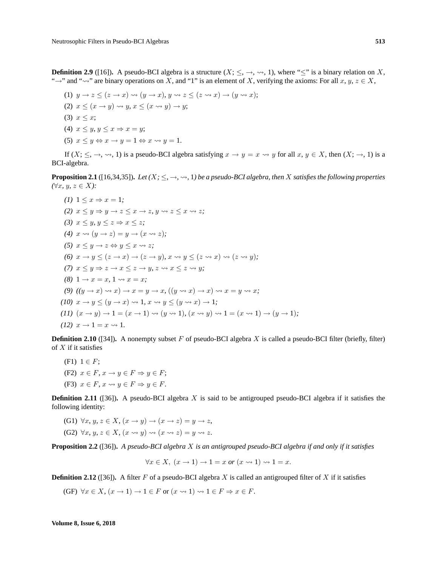**Definition 2.9** ([16]). A pseudo-BCI algebra is a structure  $(X; \leq, \rightarrow, \rightsquigarrow, 1)$ , where " $\leq$ " is a binary relation on X, "→" and " $\sim$ " are binary operations on X, and "1" is an element of X, verifying the axioms: For all x, y,  $z \in X$ ,

(1) 
$$
y \rightarrow z \le (z \rightarrow x) \rightsquigarrow (y \rightarrow x), y \rightsquigarrow z \le (z \rightsquigarrow x) \rightarrow (y \rightsquigarrow x);
$$
  
\n(2)  $x \le (x \rightarrow y) \rightsquigarrow y, x \le (x \rightsquigarrow y) \rightarrow y;$   
\n(3)  $x \le x;$   
\n(4)  $x \le y, y \le x \Rightarrow x = y;$   
\n(5)  $x \le y \Leftrightarrow x \rightarrow y = 1 \Leftrightarrow x \rightsquigarrow y = 1.$ 

If  $(X; \leq, \rightarrow, \rightsquigarrow, 1)$  is a pseudo-BCI algebra satisfying  $x \rightarrow y = x \rightsquigarrow y$  for all  $x, y \in X$ , then  $(X; \rightarrow, 1)$  is a BCI-algebra.

**Proposition 2.1** ([16,34,35]). Let  $(X; \leq, \rightarrow, \rightsquigarrow, 1)$  be a pseudo-BCI algebra, then X satisfies the following properties *(*∀x*,* y*,* z ∈ X*):*

(1) 
$$
1 \le x \Rightarrow x = 1
$$
;  
\n(2)  $x \le y \Rightarrow y \rightarrow z \le x \rightarrow z, y \rightsquigarrow z \le x \rightsquigarrow z$ ;  
\n(3)  $x \le y, y \le z \Rightarrow x \le z$ ;  
\n(4)  $x \rightsquigarrow (y \rightarrow z) = y \rightarrow (x \rightsquigarrow z)$ ;  
\n(5)  $x \le y \rightarrow z \Leftrightarrow y \le x \rightsquigarrow z$ ;  
\n(6)  $x \rightarrow y \le (z \rightarrow x) \rightarrow (z \rightarrow y), x \rightsquigarrow y \le (z \rightsquigarrow x) \rightsquigarrow (z \rightsquigarrow y)$ ;  
\n(7)  $x \le y \Rightarrow z \rightarrow x \le z \rightarrow y, z \rightsquigarrow x \le z \rightsquigarrow y$ ;  
\n(8)  $1 \rightarrow x = x, 1 \rightsquigarrow x = x$ ;  
\n(9)  $((y \rightarrow x) \rightsquigarrow x) \rightarrow x = y \rightarrow x, ((y \rightsquigarrow x) \rightarrow x) \rightsquigarrow x = y \rightsquigarrow x$ ;  
\n(10)  $x \rightarrow y \le (y \rightarrow x) \rightsquigarrow 1, x \rightsquigarrow y \le (y \rightsquigarrow x) \rightarrow 1$ ;  
\n(11)  $(x \rightarrow y) \rightarrow 1 = (x \rightarrow 1) \rightsquigarrow (y \rightsquigarrow 1), (x \rightsquigarrow y) \rightsquigarrow 1 = (x \rightsquigarrow 1) \rightarrow (y \rightarrow 1)$ ;  
\n(12)  $x \rightarrow 1 = x \rightsquigarrow 1$ .

**Definition 2.10** ([34]). A nonempty subset F of pseudo-BCI algebra X is called a pseudo-BCI filter (briefly, filter) of  $X$  if it satisfies

(F1)  $1 \in F$ ; (F2)  $x \in F$ ,  $x \to y \in F \Rightarrow y \in F$ ; (F3)  $x \in F$ ,  $x \rightsquigarrow y \in F \Rightarrow y \in F$ .

**Definition 2.11** ([36]). A pseudo-BCI algebra X is said to be antigrouped pseudo-BCI algebra if it satisfies the following identity:

(G1)  $\forall x, y, z \in X, (x \rightarrow y) \rightarrow (x \rightarrow z) = y \rightarrow z$ , (G2)  $\forall x, y, z \in X, (x \rightsquigarrow y) \rightsquigarrow (x \rightsquigarrow z) = y \rightsquigarrow z.$ 

**Proposition 2.2** ([36])**.** *A pseudo-BCI algebra* X *is an antigrouped pseudo-BCI algebra if and only if it satisfies*

$$
\forall x \in X, (x \to 1) \to 1 = x \text{ or } (x \leadsto 1) \leadsto 1 = x.
$$

**Definition 2.12** ([36]). A filter F of a pseudo-BCI algebra X is called an antigrouped filter of X if it satisfies

(GF)  $\forall x \in X, (x \to 1) \to 1 \in F$  or  $(x \leadsto 1) \leadsto 1 \in F \Rightarrow x \in F$ .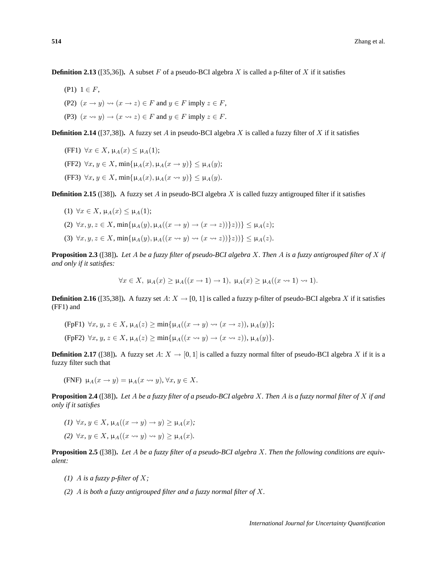**Definition 2.13** ([35,36]). A subset F of a pseudo-BCI algebra X is called a p-filter of X if it satisfies

- (P1)  $1 \in F$ .
- (P2)  $(x \to y) \rightsquigarrow (x \to z) \in F$  and  $y \in F$  imply  $z \in F$ ,
- (P3)  $(x \rightsquigarrow y) \rightarrow (x \rightsquigarrow z) \in F$  and  $y \in F$  imply  $z \in F$ .

**Definition 2.14** ([37,38]). A fuzzy set A in pseudo-BCI algebra X is called a fuzzy filter of X if it satisfies

- (FF1)  $\forall x \in X$ ,  $\mu_A(x) \leq \mu_A(1)$ ;
- (FF2)  $\forall x, y \in X$ , min{ $\mu_A(x), \mu_A(x \to y)$ }  $\leq \mu_A(y)$ ;
- (FF3)  $\forall x, y \in X$ , min{ $\mu_A(x), \mu_A(x \rightsquigarrow y)$ }  $\leq \mu_A(y)$ .

**Definition 2.15** ([38]). A fuzzy set A in pseudo-BCI algebra X is called fuzzy antigrouped filter if it satisfies

- (1)  $\forall x \in X, \mu_A(x) \leq \mu_A(1);$
- (2)  $\forall x, y, z \in X$ ,  $\min{\{\mu_A(y), \mu_A((x \rightarrow y) \rightarrow (x \rightarrow z))\}z)\}\leq \mu_A(z);$
- (3)  $\forall x, y, z \in X$ ,  $\min{\{\mu_A(y), \mu_A((x \rightsquigarrow y) \rightsquigarrow (x \rightsquigarrow z))\}} z)$ }  $\leq \mu_A(z)$ .

**Proposition 2.3** ([38])**.** *Let* A *be a fuzzy filter of pseudo-BCI algebra* X*. Then* A *is a fuzzy antigrouped filter of* X *if and only if it satisfies:*

$$
\forall x \in X, \ \mu_A(x) \ge \mu_A((x \to 1) \to 1), \ \mu_A(x) \ge \mu_A((x \to 1) \to 1).
$$

**Definition 2.16** ([35,38]). A fuzzy set  $A: X \to [0, 1]$  is called a fuzzy p-filter of pseudo-BCI algebra X if it satisfies (FF1) and

- (FpF1)  $\forall x, y, z \in X$ ,  $\mu_A(z) > \min\{\mu_A((x \rightarrow y) \rightsquigarrow (x \rightarrow z)), \mu_A(y)\};$
- (FpF2)  $\forall x, y, z \in X$ ,  $\mu_A(z) \ge \min{\mu_A((x \rightsquigarrow y) \rightarrow (x \rightsquigarrow z))}, \mu_A(y)$ .

**Definition 2.17** ([38]). A fuzzy set A:  $X \to [0, 1]$  is called a fuzzy normal filter of pseudo-BCI algebra X if it is a fuzzy filter such that

(FNF) 
$$
\mu_A(x \to y) = \mu_A(x \leadsto y), \forall x, y \in X.
$$

**Proposition 2.4** ([38])**.** *Let* A *be a fuzzy filter of a pseudo-BCI algebra* X*. Then* A *is a fuzzy normal filter of* X *if and only if it satisfies*

- $(I)$   $\forall x, y \in X$ ,  $\mu_A((x \rightarrow y) \rightarrow y) > \mu_A(x)$ ;
- *(2)*  $\forall x, y \in X$ ,  $\mu_A((x \rightsquigarrow y) \rightsquigarrow y) \ge \mu_A(x)$ .

**Proposition 2.5** ([38])**.** *Let* A *be a fuzzy filter of a pseudo-BCI algebra* X*. Then the following conditions are equivalent:*

- *(1)* A *is a fuzzy p-filter of* X*;*
- *(2)* A *is both a fuzzy antigrouped filter and a fuzzy normal filter of* X*.*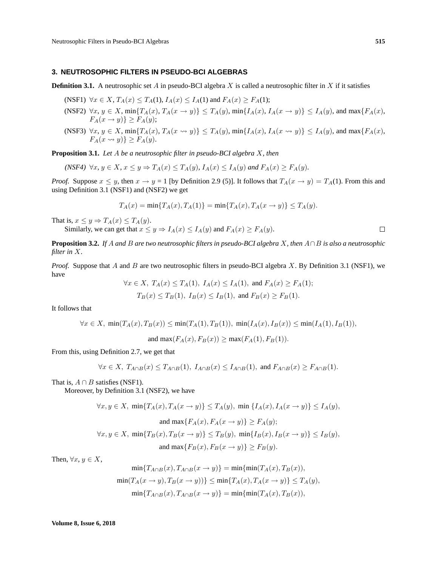#### **3. NEUTROSOPHIC FILTERS IN PSEUDO-BCI ALGEBRAS**

**Definition 3.1.** A neutrosophic set A in pseudo-BCI algebra X is called a neutrosophic filter in X if it satisfies

- (NSF1)  $\forall x \in X$ ,  $T_A(x) \leq T_A(1)$ ,  $I_A(x) \leq I_A(1)$  and  $F_A(x) \geq F_A(1)$ ;
- (NSF2)  $\forall x, y \in X$ ,  $\min\{T_A(x), T_A(x \to y)\} \leq T_A(y)$ ,  $\min\{T_A(x), T_A(x \to y)\} \leq T_A(y)$ , and  $\max\{F_A(x),$  $F_A(x \to y) \geq F_A(y);$
- (NSF3)  $\forall x, y \in X$ ,  $\min\{T_A(x), T_A(x \rightsquigarrow y)\} \leq T_A(y)$ ,  $\min\{T_A(x), T_A(x \rightsquigarrow y)\} \leq T_A(y)$ , and  $\max\{F_A(x),$  $F_A(x \rightsquigarrow y) \ge F_A(y).$

**Proposition 3.1.** *Let* A *be a neutrosophic filter in pseudo-BCI algebra* X*, then*

$$
(NSF4) \ \forall x, y \in X, x \leq y \Rightarrow T_A(x) \leq T_A(y), I_A(x) \leq I_A(y) \text{ and } F_A(x) \geq F_A(y).
$$

*Proof.* Suppose  $x \leq y$ , then  $x \to y = 1$  [by Definition 2.9 (5)]. It follows that  $T_A(x \to y) = T_A(1)$ . From this and using Definition 3.1 (NSF1) and (NSF2) we get

$$
T_A(x) = \min\{T_A(x), T_A(1)\} = \min\{T_A(x), T_A(x \to y)\} \le T_A(y).
$$

That is,  $x \leq y \Rightarrow T_A(x) \leq T_A(y)$ .

Similarly, we can get that  $x \leq y \Rightarrow I_A(x) \leq I_A(y)$  and  $F_A(x) \geq F_A(y)$ .

**Proposition 3.2.** *If* A *and* B *are two neutrosophic filters in pseudo-BCI algebra* X*, then* A∩B *is also a neutrosophic filter in* X*.*

*Proof.* Suppose that A and B are two neutrosophic filters in pseudo-BCI algebra X. By Definition 3.1 (NSF1), we have

$$
\forall x \in X, T_A(x) \le T_A(1), I_A(x) \le I_A(1), \text{ and } F_A(x) \ge F_A(1);
$$
  
\n
$$
T_B(x) \le T_B(1), I_B(x) \le I_B(1), \text{ and } F_B(x) \ge F_B(1).
$$

It follows that

$$
\forall x \in X, \ \min(T_A(x), T_B(x)) \le \min(T_A(1), T_B(1)), \ \min(I_A(x), I_B(x)) \le \min(I_A(1), I_B(1)),
$$

and max $(F_A(x), F_B(x)) > \max(F_A(1), F_B(1)).$ 

From this, using Definition 2.7, we get that

$$
\forall x \in X, T_{A \cap B}(x) \leq T_{A \cap B}(1), I_{A \cap B}(x) \leq I_{A \cap B}(1), \text{ and } F_{A \cap B}(x) \geq F_{A \cap B}(1).
$$

That is,  $A \cap B$  satisfies (NSF1).

Moreover, by Definition 3.1 (NSF2), we have

$$
\forall x, y \in X, \min\{T_A(x), T_A(x \to y)\} \le T_A(y), \min\{I_A(x), I_A(x \to y)\} \le I_A(y),
$$
  
and 
$$
\max\{F_A(x), F_A(x \to y)\} \ge F_A(y);
$$

$$
\forall x, y \in X, \ \min\{T_B(x), T_B(x \to y)\} \le T_B(y), \ \min\{I_B(x), I_B(x \to y)\} \le I_B(y),
$$
  
and 
$$
\max\{F_B(x), F_B(x \to y)\} \ge F_B(y).
$$

Then,  $\forall x, y \in X$ ,

$$
\min\{T_{A\cap B}(x), T_{A\cap B}(x \to y)\} = \min\{\min(T_A(x), T_B(x)),
$$
  

$$
\min(T_A(x \to y), T_B(x \to y))\} \le \min\{T_A(x), T_A(x \to y)\} \le T_A(y),
$$
  

$$
\min\{T_{A\cap B}(x), T_{A\cap B}(x \to y)\} = \min\{\min(T_A(x), T_B(x)),
$$

 $\Box$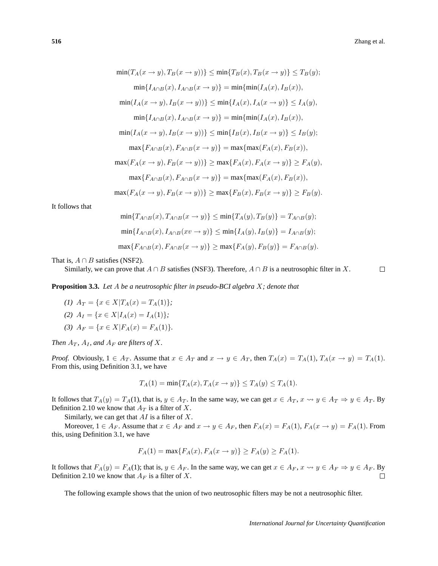$$
\min(T_A(x \to y), T_B(x \to y)) \leq \min\{T_B(x), T_B(x \to y)\} \leq T_B(y);
$$
\n
$$
\min\{I_{A \cap B}(x), I_{A \cap B}(x \to y)\} = \min\{\min(I_A(x), I_B(x)),
$$
\n
$$
\min(I_A(x \to y), I_B(x \to y))\} \leq \min\{I_A(x), I_A(x \to y)\} \leq I_A(y),
$$
\n
$$
\min\{I_{A \cap B}(x), I_{A \cap B}(x \to y)\} = \min\{\min(I_A(x), I_B(x)),
$$
\n
$$
\min(I_A(x \to y), I_B(x \to y))\} \leq \min\{I_B(x), I_B(x \to y)\} \leq I_B(y);
$$
\n
$$
\max\{F_{A \cap B}(x), F_{A \cap B}(x \to y)\} = \max\{\max(F_A(x), F_B(x)),
$$
\n
$$
\max(I_A(x \to y), F_B(x \to y))\} \geq \max\{F_A(x), F_A(x \to y)\} \geq F_A(y),
$$
\n
$$
\max\{F_{A \cap B}(x), F_{A \cap B}(x \to y)\} = \max\{\max(F_A(x), F_B(x)),
$$
\n
$$
\max(I_A(x \to y), F_B(x \to y))\} \geq \max\{F_B(x), F_B(x \to y)\} \geq F_B(y).
$$

It follows that

$$
\min\{T_{A\cap B}(x), T_{A\cap B}(x \to y)\} \le \min\{T_A(y), T_B(y)\} = T_{A\cap B}(y);
$$
  

$$
\min\{I_{A\cap B}(x), I_{A\cap B}(x v \to y)\} \le \min\{I_A(y), I_B(y)\} = I_{A\cap B}(y);
$$
  

$$
\max\{F_{A\cap B}(x), F_{A\cap B}(x \to y)\} \ge \max\{F_A(y), F_B(y)\} = F_{A\cap B}(y).
$$

That is,  $A \cap B$  satisfies (NSF2).

Similarly, we can prove that  $A \cap B$  satisfies (NSF3). Therefore,  $A \cap B$  is a neutrosophic filter in X.

 $\Box$ 

**Proposition 3.3.** *Let* A *be a neutrosophic filter in pseudo-BCI algebra* X*; denote that*

*(1)*  $A_T = \{x \in X | T_A(x) = T_A(1)\};$ 

(2) 
$$
A_I = \{x \in X | I_A(x) = I_A(1)\};
$$

*(3)*  $A_F = \{x \in X | F_A(x) = F_A(1)\}.$ 

*Then*  $A_T$ *,*  $A_I$ *, and*  $A_F$  *are filters of*  $X$ *.* 

*Proof.* Obviously,  $1 \in A_T$ . Assume that  $x \in A_T$  and  $x \to y \in A_T$ , then  $T_A(x) = T_A(1)$ ,  $T_A(x \to y) = T_A(1)$ . From this, using Definition 3.1, we have

$$
T_A(1) = \min\{T_A(x), T_A(x \to y)\} \le T_A(y) \le T_A(1).
$$

It follows that  $T_A(y) = T_A(1)$ , that is,  $y \in A_T$ . In the same way, we can get  $x \in A_T$ ,  $x \leadsto y \in A_T \Rightarrow y \in A_T$ . By Definition 2.10 we know that  $A_T$  is a filter of X.

Similarly, we can get that  $AI$  is a filter of  $X$ .

Moreover,  $1 \in A_F$ . Assume that  $x \in A_F$  and  $x \to y \in A_F$ , then  $F_A(x) = F_A(1)$ ,  $F_A(x \to y) = F_A(1)$ . From this, using Definition 3.1, we have

$$
F_A(1) = \max\{F_A(x), F_A(x \to y)\} \ge F_A(y) \ge F_A(1).
$$

It follows that  $F_A(y) = F_A(1)$ ; that is,  $y \in A_F$ . In the same way, we can get  $x \in A_F$ ,  $x \rightsquigarrow y \in A_F \Rightarrow y \in A_F$ . By Definition 2.10 we know that  $A_F$  is a filter of X.  $\Box$ 

The following example shows that the union of two neutrosophic filters may be not a neutrosophic filter.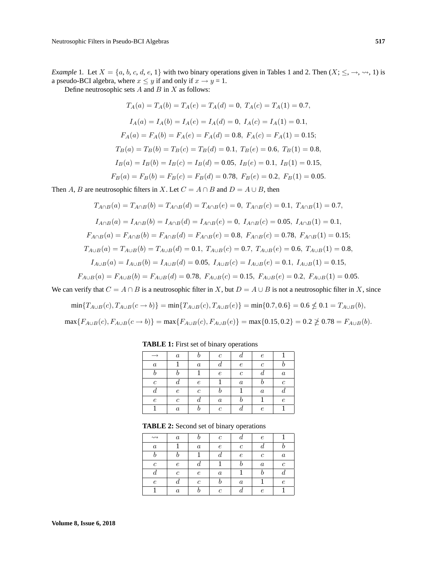*Example* 1. Let  $X = \{a, b, c, d, e, 1\}$  with two binary operations given in Tables 1 and 2. Then  $(X; \leq, \rightarrow, \rightsquigarrow, 1)$  is a pseudo-BCI algebra, where  $x \le y$  if and only if  $x \to y = 1$ .

Define neutrosophic sets  $A$  and  $B$  in  $X$  as follows:

$$
T_A(a) = T_A(b) = T_A(e) = T_A(d) = 0, T_A(c) = T_A(1) = 0.7,
$$
  
\n
$$
I_A(a) = I_A(b) = I_A(e) = I_A(d) = 0, I_A(c) = I_A(1) = 0.1,
$$
  
\n
$$
F_A(a) = F_A(b) = F_A(e) = F_A(d) = 0.8, F_A(c) = F_A(1) = 0.15;
$$
  
\n
$$
T_B(a) = T_B(b) = T_B(c) = T_B(d) = 0.1, T_B(e) = 0.6, T_B(1) = 0.8,
$$
  
\n
$$
I_B(a) = I_B(b) = I_B(c) = I_B(d) = 0.05, I_B(e) = 0.1, I_B(1) = 0.15,
$$
  
\n
$$
F_B(a) = F_B(b) = F_B(c) = F_B(d) = 0.78, F_B(e) = 0.2, F_B(1) = 0.05.
$$

Then A, B are neutrosophic filters in X. Let  $C = A \cap B$  and  $D = A \cup B$ , then

$$
T_{A \cap B}(a) = T_{A \cap B}(b) = T_{A \cap B}(d) = T_{A \cap B}(e) = 0, T_{A \cap B}(c) = 0.1, T_{A \cap B}(1) = 0.7,
$$
  
\n
$$
I_{A \cap B}(a) = I_{A \cap B}(b) = I_{A \cap B}(d) = I_{A \cap B}(e) = 0, I_{A \cap B}(c) = 0.05, I_{A \cap B}(1) = 0.1,
$$
  
\n
$$
F_{A \cap B}(a) = F_{A \cap B}(b) = F_{A \cap B}(d) = F_{A \cap B}(e) = 0.8, F_{A \cap B}(c) = 0.78, F_{A \cap B}(1) = 0.15;
$$
  
\n
$$
T_{A \cup B}(a) = T_{A \cup B}(b) = T_{A \cup B}(d) = 0.1, T_{A \cup B}(c) = 0.7, T_{A \cup B}(e) = 0.6, T_{A \cup B}(1) = 0.8,
$$
  
\n
$$
I_{A \cup B}(a) = I_{A \cup B}(b) = I_{A \cup B}(d) = 0.05, I_{A \cup B}(c) = I_{A \cup B}(e) = 0.1, I_{A \cup B}(1) = 0.15,
$$
  
\n
$$
F_{A \cup B}(a) = F_{A \cup B}(b) = F_{A \cup B}(d) = 0.78, F_{A \cup B}(c) = 0.15, F_{A \cup B}(e) = 0.2, F_{A \cup B}(1) = 0.05.
$$

We can verify that  $C = A \cap B$  is a neutrosophic filter in X, but  $D = A \cup B$  is not a neutrosophic filter in X, since

$$
\min\{T_{A\cup B}(c), T_{A\cup B}(c \to b)\} = \min\{T_{A\cup B}(c), T_{A\cup B}(e)\} = \min\{0.7, 0.6\} = 0.6 \nleq 0.1 = T_{A\cup B}(b),
$$

$$
\max\{F_{A\cup B}(c), F_{A\cup B}(c \to b)\} = \max\{F_{A\cup B}(c), F_{A\cup B}(e)\} = \max\{0.15, 0.2\} = 0.2 \ngeq 0.78 = F_{A\cup B}(b).
$$

|                  | $\boldsymbol{a}$ |               | с                | u                | $\epsilon$       |         |
|------------------|------------------|---------------|------------------|------------------|------------------|---------|
| $\boldsymbol{a}$ |                  | $\it a$       |                  | е                | с                |         |
|                  |                  |               | $\epsilon$       | с                |                  | $\it a$ |
| C                |                  | е             |                  | $\boldsymbol{a}$ |                  | r       |
|                  | $\epsilon$       | $\mathfrak c$ |                  |                  | $\boldsymbol{a}$ |         |
| $\epsilon$       | $\mathfrak c$    |               | $\boldsymbol{a}$ |                  |                  | P.      |
|                  | $\boldsymbol{a}$ |               | C                |                  | e                |         |

**TABLE 1:** First set of binary operations

**TABLE 2:** Second set of binary operations

| $\rightsquigarrow$        | $\boldsymbol{a}$ |                  | $\mathfrak{c}$ |                  | e                |                  |
|---------------------------|------------------|------------------|----------------|------------------|------------------|------------------|
| $\boldsymbol{a}$          |                  | $\boldsymbol{a}$ | $\epsilon$     | $\mathfrak c$    |                  |                  |
|                           |                  |                  |                | $\epsilon$       | с                | $\boldsymbol{a}$ |
| $\mathfrak c$             | $\epsilon$       | а                |                |                  | $\boldsymbol{a}$ | с                |
| $\boldsymbol{\mathit{u}}$ | с                | $\epsilon$       | $\it a$        |                  |                  |                  |
| $\epsilon$                |                  | с                |                | $\boldsymbol{a}$ |                  | e                |
|                           | $\boldsymbol{a}$ |                  | $\epsilon$     |                  | e                |                  |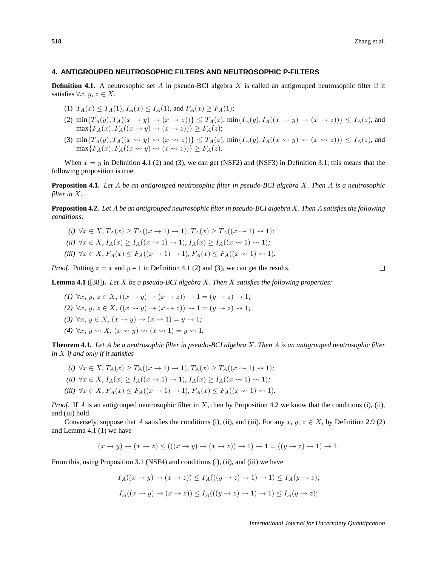#### **4. ANTIGROUPED NEUTROSOPHIC FILTERS AND NEUTROSOPHIC P-FILTERS**

**Definition 4.1.** A neutrosophic set A in pseudo-BCI algebra X is called an antigrouped neutrosophic filter if it satisfies  $\forall x, y, z \in X$ ,

- (1)  $T_A(x) \leq T_A(1)$ ,  $I_A(x) \leq I_A(1)$ , and  $F_A(x) \geq F_A(1)$ ;
- (2)  $\min\{T_A(y), T_A((x \to y) \to (x \to z))\} \leq T_A(z)$ ,  $\min\{I_A(y), I_A((x \to y) \to (x \to z))\} \leq I_A(z)$ , and  $\max\{F_A(x), F_A((x \to y) \to (x \to z))\} \ge F_A(z);$
- (3)  $\min\{T_A(y), T_A((x \rightsquigarrow y) \rightsquigarrow (x \rightsquigarrow z))\} \leq T_A(z)$ ,  $\min\{I_A(y), I_A((x \rightsquigarrow y) \rightsquigarrow (x \rightsquigarrow z))\} \leq I_A(z)$ , and  $\max\{F_A(x), F_A((x \leadsto y) \leadsto (x \leadsto z))\} > F_A(z).$

When  $x = y$  in Definition 4.1 (2) and (3), we can get (NSF2) and (NSF3) in Definition 3.1; this means that the following proposition is true.

**Proposition 4.1.** *Let* A *be an antigrouped neutrosophic filter in pseudo-BCI algebra* X*. Then* A *is a neutrosophic filter in* X*.*

**Proposition 4.2.** *Let* A *be an antigrouped neutrosophic filter in pseudo-BCI algebra* X*. Then* A *satisfies the following conditions:*

*(i)*  $\forall x \in X, T_A(x) > T_A((x \to 1) \to 1), T_A(x) > T_A((x \to 1) \to 1);$ *(ii)*  $\forall x \in X$ ,  $I_A(x) \geq I_A((x \rightarrow 1) \rightarrow 1)$ ,  $I_A(x) \geq I_A((x \rightarrow 1) \rightarrow 1)$ ; *(iii)*  $\forall x \in X, F_A(x) \leq F_A((x \to 1) \to 1), F_A(x) \leq F_A((x \to 1) \to 1).$ 

*Proof.* Putting  $z = x$  and  $y = 1$  in Definition 4.1 (2) and (3), we can get the results.

 $\Box$ 

**Lemma 4.1** ([38])**.** *Let* X *be a pseudo-BCI algebra* X*. Then* X *satisfies the following properties:*

- (1)  $\forall x, y, z \in X$ ,  $((x \rightarrow y) \rightarrow (x \rightarrow z)) \rightarrow 1 = (y \rightarrow z) \rightarrow 1$ ;
- *(2)*  $\forall x, y, z \in X$ ,  $((x \rightsquigarrow y) \rightsquigarrow (x \rightsquigarrow z)) \rightsquigarrow 1 = (y \rightsquigarrow z) \rightsquigarrow 1$ ;
- (3)  $\forall x, y \in X, (x \rightarrow y) \rightarrow (x \rightarrow 1) = y \rightarrow 1;$
- (4)  $\forall x, y \rightsquigarrow X, (x \rightsquigarrow y) \rightsquigarrow (x \rightsquigarrow 1) = y \rightsquigarrow 1.$

**Theorem 4.1.** *Let* A *be a neutrosophic filter in pseudo-BCI algebra* X*. Then* A *is an antigrouped neutrosophic filter in* X *if and only if it satisfies*

- *(i)*  $\forall x \in X$ ,  $T_A(x) > T_A((x \rightarrow 1) \rightarrow 1)$ ,  $T_A(x) > T_A((x \rightarrow 1) \rightarrow 1)$ ;
- *(ii)*  $\forall x \in X, I_A(x) > I_A((x \to 1) \to 1), I_A(x) > I_A((x \to 1) \to 1);$
- *(iii)*  $\forall x \in X, F_A(x) \leq F_A((x \to 1) \to 1), F_A(x) \leq F_A((x \to 1) \to 1).$

*Proof.* If A is an antigrouped neutrosophic filter in X, then by Proposition 4.2 we know that the conditions (i), (ii), and (iii) hold.

Conversely, suppose that A satisfies the conditions (i), (ii), and (iii). For any  $x, y, z \in X$ , by Definition 2.9 (2) and Lemma 4.1 (1) we have

$$
(x \to y) \to (x \to z) \le (((x \to y) \to (x \to z)) \to 1) \to 1 = ((y \to z) \to 1) \to 1.
$$

From this, using Proposition 3.1 (NSF4) and conditions (i), (ii), and (iii) we have

$$
T_A((x \to y) \to (x \to z)) \le T_A(((y \to z) \to 1) \to 1) \le T_A(y \to z);
$$
  

$$
I_A((x \to y) \to (x \to z)) \le I_A(((y \to z) \to 1) \to 1) \le I_A(y \to z);
$$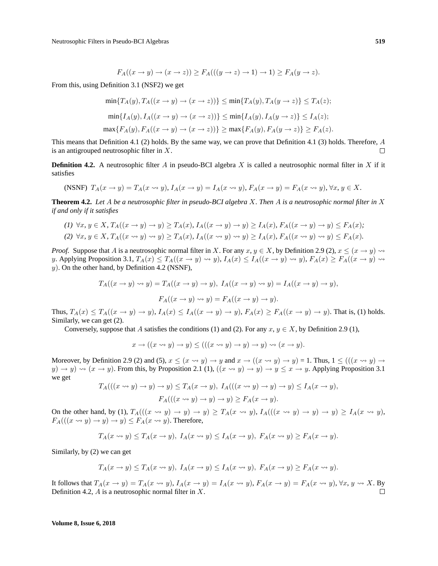$$
F_A((x \to y) \to (x \to z)) \ge F_A(((y \to z) \to 1) \to 1) \ge F_A(y \to z).
$$

From this, using Definition 3.1 (NSF2) we get

$$
\min\{T_A(y), T_A((x \to y) \to (x \to z))\} \le \min\{T_A(y), T_A(y \to z)\} \le T_A(z);
$$
  

$$
\min\{I_A(y), I_A((x \to y) \to (x \to z))\} \le \min\{I_A(y), I_A(y \to z)\} \le I_A(z);
$$
  

$$
\max\{F_A(y), F_A((x \to y) \to (x \to z))\} \ge \max\{F_A(y), F_A(y \to z)\} \ge F_A(z).
$$

This means that Definition 4.1 (2) holds. By the same way, we can prove that Definition 4.1 (3) holds. Therefore, A is an antigrouped neutrosophic filter in X.  $\Box$ 

**Definition 4.2.** A neutrosophic filter A in pseudo-BCI algebra X is called a neutrosophic normal filter in X if it satisfies

$$
(NSNF) T_A(x \to y) = T_A(x \to y), I_A(x \to y) = I_A(x \to y), F_A(x \to y) = F_A(x \to y), \forall x, y \in X.
$$

**Theorem 4.2.** *Let* A *be a neutrosophic filter in pseudo-BCI algebra* X*. Then* A *is a neutrosophic normal filter in* X *if and only if it satisfies*

$$
(1) \ \forall x, y \in X, T_A((x \to y) \to y) \ge T_A(x), I_A((x \to y) \to y) \ge I_A(x), F_A((x \to y) \to y) \le F_A(x);
$$
  

$$
(2) \ \forall x, y \in X, T_A((x \leadsto y) \leadsto y) \ge T_A(x), I_A((x \leadsto y) \leadsto y) \ge I_A(x), F_A((x \leadsto y) \leadsto y) \le F_A(x).
$$

*Proof.* Suppose that A is a neutrosophic normal filter in X. For any  $x, y \in X$ , by Definition 2.9 (2),  $x \leq (x \rightarrow y) \rightarrow$ y. Applying Proposition 3.1,  $T_A(x) \leq T_A((x \to y) \leadsto y)$ ,  $I_A(x) \leq I_A((x \to y) \leadsto y)$ ,  $F_A(x) \geq F_A((x \to y) \leadsto y)$  $y$ ). On the other hand, by Definition 4.2 (NSNF),

$$
T_A((x \to y) \leadsto y) = T_A((x \to y) \to y), I_A((x \to y) \leadsto y) = I_A((x \to y) \to y),
$$
  

$$
F_A((x \to y) \leadsto y) = F_A((x \to y) \to y).
$$

Thus,  $T_A(x) \leq T_A((x \to y) \to y)$ ,  $I_A(x) \leq I_A((x \to y) \to y)$ ,  $F_A(x) \geq F_A((x \to y) \to y)$ . That is, (1) holds. Similarly, we can get (2).

Conversely, suppose that A satisfies the conditions (1) and (2). For any  $x, y \in X$ , by Definition 2.9 (1),

$$
x \to ((x \leadsto y) \to y) \le (((x \leadsto y) \to y) \leadsto (x \to y).
$$

Moreover, by Definition 2.9 (2) and (5),  $x \leq (x \leadsto y) \rightarrow y$  and  $x \rightarrow ((x \leadsto y) \rightarrow y) = 1$ . Thus,  $1 \leq (((x \leadsto y) \rightarrow$  $y) \rightarrow y$   $\rightsquigarrow$   $(x \rightarrow y)$ . From this, by Proposition 2.1 (1),  $((x \rightsquigarrow y) \rightarrow y) \rightarrow y \leq x \rightarrow y$ . Applying Proposition 3.1 we get

$$
T_A(((x \rightsquigarrow y) \rightarrow y) \rightarrow y) \le T_A(x \rightarrow y), I_A(((x \rightsquigarrow y) \rightarrow y) \rightarrow y) \le I_A(x \rightarrow y),
$$
  

$$
F_A(((x \rightsquigarrow y) \rightarrow y) \rightarrow y) \ge F_A(x \rightarrow y).
$$

On the other hand, by (1),  $T_A(((x \rightsquigarrow y) \rightarrow y) \rightarrow y) \ge T_A(x \rightsquigarrow y)$ ,  $I_A(((x \rightsquigarrow y) \rightarrow y) \rightarrow y) \ge I_A(x \rightsquigarrow y)$ ,  $F_A(((x \rightsquigarrow y) \rightarrow y) \rightarrow y) \leq F_A(x \rightsquigarrow y)$ . Therefore,

$$
T_A(x \rightsquigarrow y) \le T_A(x \rightarrow y), I_A(x \rightsquigarrow y) \le I_A(x \rightarrow y), F_A(x \rightsquigarrow y) \ge F_A(x \rightarrow y).
$$

Similarly, by (2) we can get

$$
T_A(x \to y) \le T_A(x \leadsto y), \ I_A(x \to y) \le I_A(x \leadsto y), \ F_A(x \to y) \ge F_A(x \leadsto y).
$$

It follows that  $T_A(x \to y) = T_A(x \to y)$ ,  $I_A(x \to y) = I_A(x \to y)$ ,  $F_A(x \to y) = F_A(x \to y)$ ,  $\forall x, y \to X$ . By Definition 4.2,  $\Lambda$  is a neutrosophic normal filter in  $X$ . П

#### **Volume 8, Issue 6, 2018**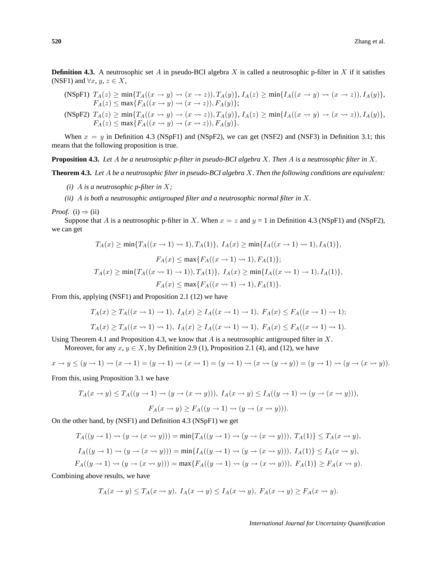**Definition 4.3.** A neutrosophic set A in pseudo-BCI algebra X is called a neutrosophic p-filter in X if it satisfies (NSF1) and  $\forall x, y, z \in X$ ,

$$
\begin{array}{l}\n\text{(NSpF1)} \ T_A(z) \ge \min\{T_A((x \to y) \leadsto (x \to z)), T_A(y)\}, \ I_A(z) \ge \min\{I_A((x \to y) \leadsto (x \to z)), I_A(y)\}, \\
F_A(z) \le \max\{F_A((x \to y) \leadsto (x \to z)), F_A(y)\}; \\
\text{(NSpF2)} \ T_A(z) \ge \min\{T_A((x \leadsto y) \to (x \leadsto z)), T_A(y)\}, \ I_A(z) \ge \min\{I_A((x \leadsto y) \to (x \leadsto z)), I_A(y)\}, \\
F_A(z) \le \max\{F_A((x \leadsto y) \to (x \leadsto z)), F_A(y)\}.\n\end{array}
$$

When  $x = y$  in Definition 4.3 (NSpF1) and (NSpF2), we can get (NSF2) and (NSF3) in Definition 3.1; this means that the following proposition is true.

**Proposition 4.3.** *Let* A *be a neutrosophic p-filter in pseudo-BCI algebra* X*. Then* A *is a neutrosophic filter in* X*.*

**Theorem 4.3.** *Let* A *be a neutrosophic filter in pseudo-BCI algebra* X*. Then the following conditions are equivalent:*

- *(i)* A *is a neutrosophic p-filter in* X*;*
- *(ii)* A *is both a neutrosophic antigrouped filter and a neutrosophic normal filter in* X*.*

*Proof.* (i)  $\Rightarrow$  (ii)

Suppose that A is a neutrosophic p-filter in X. When  $x = z$  and  $y = 1$  in Definition 4.3 (NSpF1) and (NSpF2), we can get

$$
T_A(x) \ge \min\{T_A((x \to 1) \to 1), T_A(1)\}, I_A(x) \ge \min\{I_A((x \to 1) \to 1), I_A(1)\},
$$

$$
F_A(x) \le \max\{F_A((x \to 1) \to 1), F_A(1)\};
$$

$$
T_A(x) \ge \min\{T_A((x \to 1) \to 1)), T_A(1)\}, I_A(x) \ge \min\{I_A((x \to 1) \to 1), I_A(1)\},
$$

$$
F_A(x) \le \max\{F_A((x \to 1) \to 1), F_A(1)\}.
$$

From this, applying (NSF1) and Proposition 2.1 (12) we have

$$
T_A(x) \ge T_A((x \to 1) \to 1), I_A(x) \ge I_A((x \to 1) \to 1), F_A(x) \le F_A((x \to 1) \to 1);
$$
  

$$
T_A(x) \ge T_A((x \to 1) \to 1), I_A(x) \ge I_A((x \to 1) \to 1), F_A(x) \le F_A((x \to 1) \to 1).
$$

Using Theorem 4.1 and Proposition 4.3, we know that A is a neutrosophic antigrouped filter in X.

Moreover, for any  $x, y \in X$ , by Definition 2.9 (1), Proposition 2.1 (4), and (12), we have

$$
x \to y \le (y \to 1) \rightsquigarrow (x \to 1) = (y \to 1) \rightsquigarrow (x \rightsquigarrow 1) = (y \to 1) \rightsquigarrow (x \rightsquigarrow (y \to y)) = (y \to 1) \rightsquigarrow (y \to (x \rightsquigarrow y)).
$$

From this, using Proposition 3.1 we have

$$
T_A(x \to y) \le T_A((y \to 1) \rightsquigarrow (y \to (x \leadsto y))), I_A(x \to y) \le I_A((y \to 1) \leadsto (y \to (x \leadsto y))),
$$
  

$$
F_A(x \to y) \ge F_A((y \to 1) \leadsto (y \to (x \leadsto y))).
$$

On the other hand, by (NSF1) and Definition 4.3 (NSpF1) we get

$$
T_A((y \to 1) \rightsquigarrow (y \to (x \leadsto y))) = \min\{T_A((y \to 1) \leadsto (y \to (x \leadsto y))), T_A(1)\} \le T_A(x \leadsto y),
$$
  
\n
$$
I_A((y \to 1) \leadsto (y \to (x \leadsto y))) = \min\{I_A((y \to 1) \leadsto (y \to (x \leadsto y))), I_A(1)\} \le I_A(x \leadsto y),
$$
  
\n
$$
F_A((y \to 1) \leadsto (y \to (x \leadsto y))) = \max\{F_A((y \to 1) \leadsto (y \to (x \leadsto y))), F_A(1)\} \ge F_A(x \leadsto y).
$$

Combining above results, we have

$$
T_A(x \to y) \le T_A(x \leadsto y), I_A(x \to y) \le I_A(x \leadsto y), F_A(x \to y) \ge F_A(x \leadsto y).
$$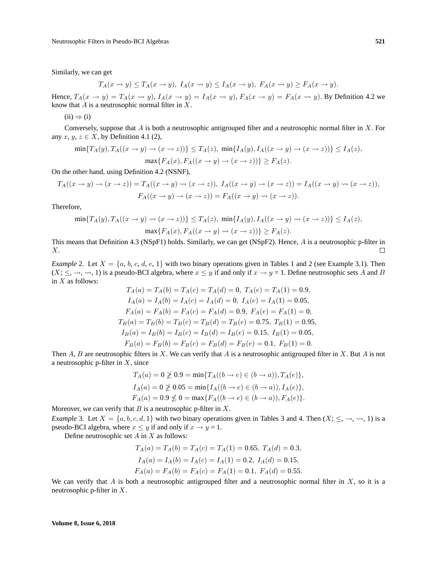Similarly, we can get

$$
T_A(x \rightsquigarrow y) \le T_A(x \rightarrow y), I_A(x \rightsquigarrow y) \le I_A(x \rightarrow y), F_A(x \rightsquigarrow y) \ge F_A(x \rightarrow y).
$$

Hence,  $T_A(x \to y) = T_A(x \to y)$ ,  $I_A(x \to y) = I_A(x \to y)$ ,  $F_A(x \to y) = F_A(x \to y)$ . By Definition 4.2 we know that  $A$  is a neutrosophic normal filter in  $X$ .

 $(ii) \Rightarrow (i)$ 

Conversely, suppose that  $A$  is both a neutrosophic antigrouped filter and a neutrosophic normal filter in  $X$ . For any  $x, y, z \in X$ , by Definition 4.1 (2),

$$
\min\{T_A(y), T_A((x \to y) \to (x \to z))\} \le T_A(z), \ \min\{I_A(y), I_A((x \to y) \to (x \to z))\} \le I_A(z),
$$

$$
\max\{F_A(x), F_A((x \to y) \to (x \to z))\} \ge F_A(z).
$$

On the other hand, using Definition 4.2 (NSNF),

$$
T_A((x \to y) \to (x \to z)) = T_A((x \to y) \rightsquigarrow (x \to z)), I_A((x \to y) \to (x \to z)) = I_A((x \to y) \rightsquigarrow (x \to z)),
$$
  

$$
F_A((x \to y) \to (x \to z)) = F_A((x \to y) \rightsquigarrow (x \to z)).
$$

Therefore,

$$
\min\{T_A(y), T_A((x \to y) \leadsto (x \to z))\} \le T_A(z), \ \min\{I_A(y), I_A((x \to y) \leadsto (x \to z))\} \le I_A(z),
$$

$$
\max\{F_A(x), F_A((x \to y) \leadsto (x \to z))\} \ge F_A(z).
$$

This means that Definition 4.3 (NSpF1) holds. Similarly, we can get (NSpF2). Hence, A is a neutrosophic p-filter in X.  $\Box$ 

*Example* 2. Let  $X = \{a, b, c, d, e, 1\}$  with two binary operations given in Tables 1 and 2 (see Example 3.1). Then  $(X; \leq, \rightarrow, \rightsquigarrow, 1)$  is a pseudo-BCI algebra, where  $x \leq y$  if and only if  $x \rightarrow y = 1$ . Define neutrosophic sets A and B in  $X$  as follows:

$$
T_A(a) = T_A(b) = T_A(c) = T_A(d) = 0, T_A(e) = T_A(1) = 0.9,
$$
  
\n
$$
I_A(a) = I_A(b) = I_A(c) = I_A(d) = 0, I_A(e) = I_A(1) = 0.05,
$$
  
\n
$$
F_A(a) = F_A(b) = F_A(c) = F_A(d) = 0.9, F_A(e) = F_A(1) = 0;
$$
  
\n
$$
T_B(a) = T_B(b) = T_B(c) = T_B(d) = T_B(e) = 0.75, T_B(1) = 0.95,
$$
  
\n
$$
I_B(a) = I_B(b) = I_B(c) = I_B(d) = I_B(e) = 0.15, I_B(1) = 0.05,
$$
  
\n
$$
F_B(a) = F_B(b) = F_B(c) = F_B(d) = F_B(e) = 0.1, F_B(1) = 0.
$$

Then  $A, B$  are neutrosophic filters in X. We can verify that  $A$  is a neutrosophic antigrouped filter in X. But  $A$  is not a neutrosophic p-filter in  $X$ , since

$$
T_A(a) = 0 \not\geq 0.9 = \min\{T_A((b \to e) \in (b \to a)), T_A(e)\},\
$$
  
\n
$$
I_A(a) = 0 \not\geq 0.05 = \min\{I_A((b \to e) \in (b \to a)), I_A(e)\},\
$$
  
\n
$$
F_A(a) = 0.9 \not\leq 0 = \max\{F_A((b \to e) \in (b \to a)), F_A(e)\}.
$$

Moreover, we can verify that  $B$  is a neutrosophic p-filter in  $X$ .

*Example* 3. Let  $X = \{a, b, c, d, 1\}$  with two binary operations given in Tables 3 and 4. Then  $(X; \leq, \rightarrow, \rightsquigarrow, 1)$  is a pseudo-BCI algebra, where  $x \le y$  if and only if  $x \to y = 1$ .

Define neutrosophic set  $A$  in  $X$  as follows:

$$
T_A(a) = T_A(b) = T_A(c) = T_A(1) = 0.65, T_A(d) = 0.3,
$$
  
\n
$$
I_A(a) = I_A(b) = I_A(c) = I_A(1) = 0.2, I_A(d) = 0.15,
$$
  
\n
$$
F_A(a) = F_A(b) = F_A(c) = F_A(1) = 0.1, F_A(d) = 0.55.
$$

We can verify that A is both a neutrosophic antigrouped filter and a neutrosophic normal filter in X, so it is a neutrosophic p-filter in X.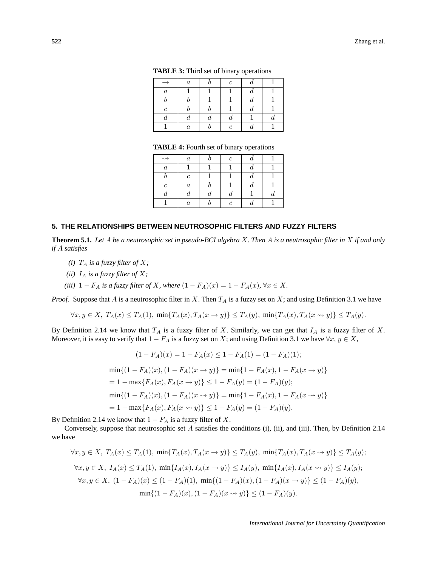|                  | $\boldsymbol{a}$ | $\mathfrak{c}$ |  |
|------------------|------------------|----------------|--|
| $\boldsymbol{a}$ |                  |                |  |
|                  |                  |                |  |
| $\mathfrak c$    |                  |                |  |
|                  |                  |                |  |
|                  | $\boldsymbol{a}$ | Ċ              |  |

**TABLE 3:** Third set of binary operations

|  |  |  |  | <b>TABLE 4:</b> Fourth set of binary operations |
|--|--|--|--|-------------------------------------------------|
|--|--|--|--|-------------------------------------------------|

| $\rightsquigarrow$ | $\boldsymbol{a}$ | $\mathfrak c$ |   |  |
|--------------------|------------------|---------------|---|--|
| $\boldsymbol{a}$   |                  |               |   |  |
|                    | $\mathfrak c$    |               | u |  |
| $\mathfrak c$      | $\boldsymbol{a}$ |               | u |  |
|                    |                  | $\bm{u}$      |   |  |
|                    | $\boldsymbol{a}$ | $\mathfrak c$ |   |  |

#### **5. THE RELATIONSHIPS BETWEEN NEUTROSOPHIC FILTERS AND FUZZY FILTERS**

**Theorem 5.1.** *Let* A *be a neutrosophic set in pseudo-BCI algebra* X*. Then* A *is a neutrosophic filter in* X *if and only if* A *satisfies*

- *(i)*  $T_A$  *is a fuzzy filter of*  $X$ *;*
- *(ii)*  $I_A$  *is a fuzzy filter of*  $X$ *;*
- *(iii)*  $1 F_A$  *is a fuzzy filter of X, where*  $(1 F_A)(x) = 1 F_A(x)$ *,*  $\forall x \in X$ *.*

*Proof.* Suppose that A is a neutrosophic filter in X. Then  $T_A$  is a fuzzy set on X; and using Definition 3.1 we have

$$
\forall x, y \in X, T_A(x) \le T_A(1), \min\{T_A(x), T_A(x \to y)\} \le T_A(y), \min\{T_A(x), T_A(x \leadsto y)\} \le T_A(y).
$$

By Definition 2.14 we know that  $T_A$  is a fuzzy filter of X. Similarly, we can get that  $I_A$  is a fuzzy filter of X. Moreover, it is easy to verify that  $1 - F_A$  is a fuzzy set on X; and using Definition 3.1 we have  $\forall x, y \in X$ ,

$$
(1 - F_A)(x) = 1 - F_A(x) \le 1 - F_A(1) = (1 - F_A)(1);
$$
  
\n
$$
\min\{(1 - F_A)(x), (1 - F_A)(x \to y)\} = \min\{1 - F_A(x), 1 - F_A(x \to y)\}
$$
  
\n
$$
= 1 - \max\{F_A(x), F_A(x \to y)\} \le 1 - F_A(y) = (1 - F_A)(y);
$$
  
\n
$$
\min\{(1 - F_A)(x), (1 - F_A)(x \leadsto y)\} = \min\{1 - F_A(x), 1 - F_A(x \leadsto y)\}
$$
  
\n
$$
= 1 - \max\{F_A(x), F_A(x \leadsto y)\} \le 1 - F_A(y) = (1 - F_A)(y).
$$

By Definition 2.14 we know that  $1 - F_A$  is a fuzzy filter of X.

Conversely, suppose that neutrosophic set A satisfies the conditions (i), (ii), and (iii). Then, by Definition 2.14 we have

$$
\forall x, y \in X, T_A(x) \le T_A(1), \min\{T_A(x), T_A(x \to y)\} \le T_A(y), \min\{T_A(x), T_A(x \leadsto y)\} \le T_A(y);
$$
  

$$
\forall x, y \in X, I_A(x) \le T_A(1), \min\{I_A(x), I_A(x \to y)\} \le I_A(y), \min\{I_A(x), I_A(x \leadsto y)\} \le I_A(y);
$$
  

$$
\forall x, y \in X, (1 - F_A)(x) \le (1 - F_A)(1), \min\{(1 - F_A)(x), (1 - F_A)(x \leadsto y)\} \le (1 - F_A)(y),
$$
  

$$
\min\{(1 - F_A)(x), (1 - F_A)(x \leadsto y)\} \le (1 - F_A)(y).
$$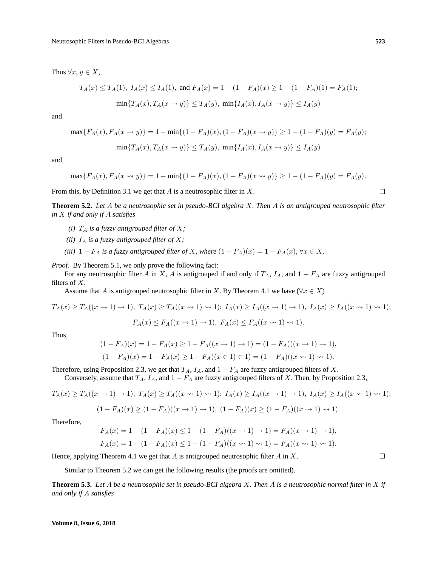Thus  $\forall x, y \in X$ ,

$$
T_A(x) \le T_A(1), \ I_A(x) \le I_A(1), \text{ and } F_A(x) = 1 - (1 - F_A)(x) \ge 1 - (1 - F_A)(1) = F_A(1);
$$
  

$$
\min\{T_A(x), T_A(x \to y)\} \le T_A(y), \ \min\{I_A(x), I_A(x \to y)\} \le I_A(y)
$$

and

$$
\max\{F_A(x), F_A(x \to y)\} = 1 - \min\{(1 - F_A)(x), (1 - F_A)(x \to y)\} \ge 1 - (1 - F_A)(y) = F_A(y);
$$
  

$$
\min\{T_A(x), T_A(x \leadsto y)\} \le T_A(y), \ \min\{I_A(x), I_A(x \leadsto y)\} \le I_A(y)
$$

and

$$
\max\{F_A(x), F_A(x \leadsto y)\} = 1 - \min\{(1 - F_A)(x), (1 - F_A)(x \leadsto y)\} \ge 1 - (1 - F_A)(y) = F_A(y).
$$

From this, by Definition 3.1 we get that  $A$  is a neutrosophic filter in  $X$ .

**Theorem 5.2.** *Let* A *be a neutrosophic set in pseudo-BCI algebra* X*. Then* A *is an antigrouped neutrosophic filter in* X *if and only if* A *satisfies*

- *(i)*  $T_A$  *is a fuzzy antigrouped filter of*  $X$ *;*
- *(ii)*  $I_A$  *is a fuzzy antigrouped filter of*  $X$ *;*
- *(iii)*  $1 F_A$  *is a fuzzy antigrouped filter of X, where*  $(1 F_A)(x) = 1 F_A(x)$ *,*  $\forall x \in X$ *.*

*Proof.* By Theorem 5.1, we only prove the following fact:

For any neutrosophic filter A in X, A is antigrouped if and only if  $T_A$ ,  $I_A$ , and  $1 - F_A$  are fuzzy antigrouped filters of X.

Assume that A is antigrouped neutrosophic filter in X. By Theorem 4.1 we have ( $\forall x \in X$ )

$$
T_A(x) \ge T_A((x \to 1) \to 1), T_A(x) \ge T_A((x \to 1) \to 1); I_A(x) \ge I_A((x \to 1) \to 1), I_A(x) \ge I_A((x \to 1) \to 1);
$$
  

$$
F_A(x) \le F_A((x \to 1) \to 1), F_A(x) \le F_A((x \to 1) \to 1).
$$

Thus,

$$
(1 - F_A)(x) = 1 - F_A(x) \ge 1 - F_A((x \to 1) \to 1) = (1 - F_A)((x \to 1) \to 1),
$$
  

$$
(1 - F_A)(x) = 1 - F_A(x) \ge 1 - F_A((x \in 1) \in 1) = (1 - F_A)((x \to 1) \to 1).
$$

Therefore, using Proposition 2.3, we get that  $T_A$ ,  $I_A$ , and  $1 - F_A$  are fuzzy antigrouped filters of X.

Conversely, assume that  $T_A$ ,  $I_A$ , and  $1 - F_A$  are fuzzy antigrouped filters of X. Then, by Proposition 2.3,

$$
T_A(x) \geq T_A((x \to 1) \to 1), T_A(x) \geq T_A((x \to 1) \to 1); I_A(x) \geq I_A((x \to 1) \to 1), I_A(x) \geq I_A((x \to 1) \to 1);
$$

$$
(1 - F_A)(x) \ge (1 - F_A)((x \to 1) \to 1), (1 - F_A)(x) \ge (1 - F_A)((x \to 1) \to 1).
$$

Therefore,

$$
F_A(x) = 1 - (1 - F_A)(x) \le 1 - (1 - F_A)((x \to 1) \to 1) = F_A((x \to 1) \to 1),
$$
  
\n
$$
F_A(x) = 1 - (1 - F_A)(x) \le 1 - (1 - F_A)((x \to 1) \to 1) = F_A((x \to 1) \to 1).
$$

Hence, applying Theorem 4.1 we get that  $A$  is antigrouped neutrosophic filter  $A$  in  $X$ .

Similar to Theorem 5.2 we can get the following results (the proofs are omitted).

**Theorem 5.3.** *Let* A *be a neutrosophic set in pseudo-BCI algebra* X*. Then* A *is a neutrosophic normal filter in* X *if and only if* A *satisfies*

 $\Box$ 

 $\Box$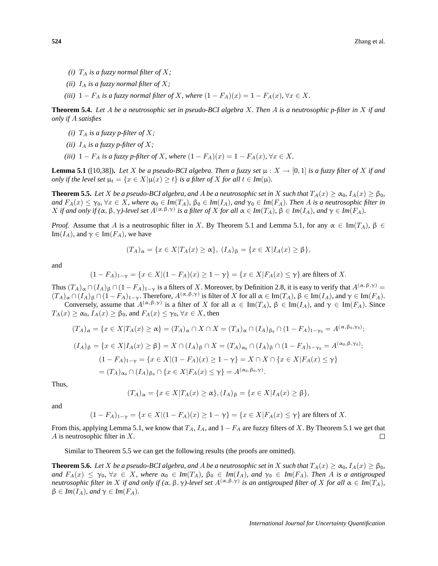- *(i)*  $T_A$  *is a fuzzy normal filter of*  $X$ *;*
- *(ii)*  $I_A$  *is a fuzzy normal filter of*  $X$ *;*
- *(iii)*  $1 F_A$  *is a fuzzy normal filter of* X*, where*  $(1 F_A)(x) = 1 F_A(x)$ ,  $\forall x \in X$ .

**Theorem 5.4.** *Let* A *be a neutrosophic set in pseudo-BCI algebra* X*. Then* A *is a neutrosophic p-filter in* X *if and only if* A *satisfies*

- *(i)*  $T_A$  *is a fuzzy p-filter of*  $X$ *;*
- *(ii)*  $I_A$  *is a fuzzy p-filter of*  $X$ *;*
- *(iii)*  $1 F_A$  *is a fuzzy p-filter of X, where*  $(1 F_A)(x) = 1 F_A(x)$ ,  $\forall x \in X$ .

**Lemma 5.1** ([10,38]). Let X be a pseudo-BCI algebra. Then a fuzzy set  $\mu$  :  $X \to [0, 1]$  is a fuzzy filter of X if and *only if the level set*  $\mu_t = \{x \in X | \mu(x) \ge t\}$  *is a filter of* X *for all*  $t \in Im(\mu)$ *.* 

**Theorem 5.5.** *Let* X *be a pseudo-BCI algebra, and A be a neutrosophic set in* X *such that*  $T_A(x) \ge \alpha_0$ ,  $I_A(x) \ge \beta_0$ ,  $\alpha$  and  $F_A(x) \leq \gamma_0$ ,  $\forall x \in X$ , where  $\alpha_0 \in Im(T_A)$ ,  $\beta_0 \in Im(I_A)$ , and  $\gamma_0 \in Im(F_A)$ . Then A is a neutrosophic filter in  $X$  if and only if  $(\alpha, \beta, \gamma)$ -level set  $A^{(\alpha, \beta, \gamma)}$  is a filter of  $X$  for all  $\alpha \in Im(T_A)$ ,  $\beta \in Im(I_A)$ , and  $\gamma \in Im(F_A)$ .

*Proof.* Assume that A is a neutrosophic filter in X. By Theorem 5.1 and Lemma 5.1, for any  $\alpha \in \text{Im}(T_A)$ ,  $\beta \in$ Im( $I_A$ ), and  $\gamma \in \text{Im}(F_A)$ , we have

$$
(T_A)_{\alpha} = \{x \in X | T_A(x) \ge \alpha\}, (I_A)_{\beta} = \{x \in X | I_A(x) \ge \beta\},
$$

and

$$
(1 - F_A)_{1-\gamma} = \{x \in X | (1 - F_A)(x) \ge 1 - \gamma\} = \{x \in X | F_A(x) \le \gamma\}
$$
 are filters of X.

Thus  $(T_A)_{\alpha} \cap (I_A)_{\beta} \cap (1 - F_A)_{1-\gamma}$  is a filters of X. Moreover, by Definition 2.8, it is easy to verify that  $A^{(\alpha,\beta,\gamma)}$  =  $(T_A)_{\alpha} \cap (I_A)_{\beta} \cap (1 - F_A)_{1-\gamma}$ . Therefore,  $A^{(\alpha, \beta, \gamma)}$  is filter of X for all  $\alpha \in \text{Im}(T_A)$ ,  $\beta \in \text{Im}(I_A)$ , and  $\gamma \in \text{Im}(F_A)$ .

Conversely, assume that  $A^{(\alpha,\beta,\gamma)}$  is a filter of X for all  $\alpha \in \text{Im}(T_A)$ ,  $\beta \in \text{Im}(I_A)$ , and  $\gamma \in \text{Im}(F_A)$ . Since  $T_A(x) \ge \alpha_0$ ,  $I_A(x) \ge \beta_0$ , and  $F_A(x) \le \gamma_0$ ,  $\forall x \in X$ , then

$$
(T_A)_{\alpha} = \{x \in X | T_A(x) \ge \alpha\} = (T_A)_{\alpha} \cap X \cap X = (T_A)_{\alpha} \cap (I_A)_{\beta_0} \cap (1 - F_A)_{1-\gamma_0} = A^{(\alpha, \beta_0, \gamma_0)};
$$
  
\n
$$
(I_A)_{\beta} = \{x \in X | I_A(x) \ge \beta\} = X \cap (I_A)_{\beta} \cap X = (T_A)_{\alpha_0} \cap (I_A)_{\beta} \cap (1 - F_A)_{1-\gamma_0} = A^{(\alpha_0, \beta, \gamma_0)};
$$
  
\n
$$
(1 - F_A)_{1-\gamma} = \{x \in X | (1 - F_A)(x) \ge 1 - \gamma\} = X \cap X \cap \{x \in X | F_A(x) \le \gamma\}
$$
  
\n
$$
= (T_A)_{\alpha_0} \cap (I_A)_{\beta_0} \cap \{x \in X | F_A(x) \le \gamma\} = A^{(\alpha_0, \beta_0, \gamma)}.
$$

Thus,

$$
(T_A)_{\alpha} = \{x \in X | T_A(x) \ge \alpha\}, (I_A)_{\beta} = \{x \in X | I_A(x) \ge \beta\},
$$

and

$$
(1 - F_A)_{1-\gamma} = \{x \in X | (1 - F_A)(x) \ge 1 - \gamma\} = \{x \in X | F_A(x) \le \gamma\}
$$
 are filters of X.

From this, applying Lemma 5.1, we know that  $T_A$ ,  $I_A$ , and  $1-F_A$  are fuzzy filters of X. By Theorem 5.1 we get that  $A$  is neutrosophic filter in  $X$ .  $\Box$ 

Similar to Theorem 5.5 we can get the following results (the proofs are omitted).

**Theorem 5.6.** *Let* X *be a pseudo-BCI algebra, and A be a neutrosophic set in* X *such that*  $T_A(x) \ge \alpha_0$ ,  $I_A(x) \ge \beta_0$ ,  $\alpha$  *and*  $F_A(x) \leq \gamma_0$ ,  $\forall x \in X$ , where  $\alpha_0 \in Im(T_A)$ ,  $\beta_0 \in Im(I_A)$ , and  $\gamma_0 \in Im(F_A)$ . Then A is a antigrouped *neutrosophic filter in* X *if and only if*  $(\alpha, \beta, \gamma)$ -level set  $A^{(\alpha, \beta, \gamma)}$  is an antigrouped filter of X for all  $\alpha \in Im(T_A)$ ,  $\beta \in Im(I_A)$ *, and*  $\gamma \in Im(F_A)$ *.*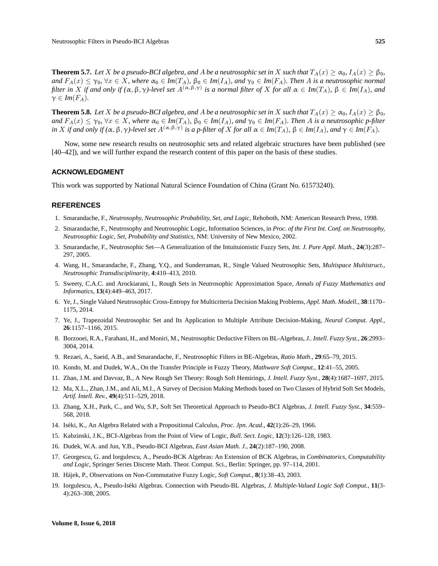**Theorem 5.7.** *Let* X *be a pseudo-BCI algebra, and A be a neutrosophic set in* X *such that*  $T_A(x) \ge \alpha_0$ ,  $I_A(x) \ge \beta_0$ , *and*  $F_A(x) \leq \gamma_0$ ,  $\forall x \in X$ , where  $\alpha_0 \in Im(T_A)$ ,  $\beta_0 \in Im(I_A)$ , and  $\gamma_0 \in Im(F_A)$ . Then A is a neutrosophic normal *filter in* X *if and only if*  $(\alpha, \beta, \gamma)$ -level set  $A^{(\alpha, \beta, \gamma)}$  is a normal filter of X for all  $\alpha \in Im(T_A)$ ,  $\beta \in Im(I_A)$ , and  $\gamma \in Im(F_A)$ .

**Theorem 5.8.** *Let* X *be a pseudo-BCI algebra, and A <i>be a neutrosophic set in* X *such that*  $T_A(x) \ge \alpha_0$ ,  $I_A(x) \ge \beta_0$ , *and*  $F_A(x) \leq \gamma_0$ ,  $\forall x \in X$ , where  $\alpha_0 \in Im(T_A)$ ,  $\beta_0 \in Im(I_A)$ , and  $\gamma_0 \in Im(F_A)$ . Then A is a neutrosophic p-filter *in* X *if and only if*  $(\alpha, \beta, \gamma)$ -level set  $A^{(\alpha, \beta, \gamma)}$  *is a p-filter of* X *for all*  $\alpha \in Im(T_A)$ ,  $\beta \in Im(I_A)$ *, and*  $\gamma \in Im(F_A)$ *.* 

Now, some new research results on neutrosophic sets and related algebraic structures have been published (see [40–42]), and we will further expand the research content of this paper on the basis of these studies.

#### **ACKNOWLEDGMENT**

This work was supported by National Natural Science Foundation of China (Grant No. 61573240).

#### **REFERENCES**

- 1. Smarandache, F., *Neutrosophy, Neutrosophic Probability, Set, and Logic*, Rehoboth, NM: American Research Press, 1998.
- 2. Smarandache, F., Neutrosophy and Neutrosophic Logic, Information Sciences, in *Proc. of the First Int. Conf. on Neutrosophy, Neutrosophic Logic, Set, Probability and Statistics*, NM: University of New Mexico, 2002.
- 3. Smarandache, F., Neutrosophic Set—A Generalization of the Intuituionistic Fuzzy Sets, *Int. J. Pure Appl. Math.*, **24**(3):287– 297, 2005.
- 4. Wang, H., Smarandache, F., Zhang, Y.Q., and Sunderraman, R., Single Valued Neutrosophic Sets, *Multispace Multistruct., Neutrosophic Transdisciplinarity*, **4**:410–413, 2010.
- 5. Sweety, C.A.C. and Arockiarani, I., Rough Sets in Neutrosophic Approximation Space, *Annals of Fuzzy Mathematics and Informatics*, **13**(4):449–463, 2017.
- 6. Ye, J., Single Valued Neutrosophic Cross-Entropy for Multicriteria Decision Making Problems, *Appl. Math. Modell.*, **38**:1170– 1175, 2014.
- 7. Ye, J., Trapezoidal Neutrosophic Set and Its Application to Multiple Attribute Decision-Making, *Neural Comput. Appl.*, **26**:1157–1166, 2015.
- 8. Borzooei, R.A., Farahani, H., and Moniri, M., Neutrosophic Deductive Filters on BL-Algebras, *J.. Intell. Fuzzy Syst.*, **26**:2993– 3004, 2014.
- 9. Rezaei, A., Saeid, A.B., and Smarandache, F., Neutrosophic Filters in BE-Algebras, *Ratio Math.*, **29**:65–79, 2015.
- 10. Kondo, M. and Dudek, W.A., On the Transfer Principle in Fuzzy Theory, *Mathware Soft Comput.*, **12**:41–55, 2005.
- 11. Zhan, J.M. and Davvaz, B., A New Rough Set Theory: Rough Soft Hemirings, *J. Intell. Fuzzy Syst.*, **28**(4):1687–1697, 2015.
- 12. Ma, X.L., Zhan, J.M., and Ali, M.I., A Survey of Decision Making Methods based on Two Classes of Hybrid Soft Set Models, *Artif. Intell. Rev.*, **49**(4):511–529, 2018.
- 13. Zhang, X.H., Park, C., and Wu, S.P., Soft Set Theoretical Approach to Pseudo-BCI Algebras, *J. Intell. Fuzzy Syst.*, **34**:559– 568, 2018.
- 14. Iseki, K., An Algebra Related with a Propositional Calculus, ´ *Proc. Jpn. Acad.*, **42**(1):26–29, 1966.
- 15. Kabzinski, J.K., BCI-Algebras from the Point of View of Logic, *Bull. Sect. Logic*, **12**(3):126–128, 1983.
- 16. Dudek, W.A. and Jun, Y.B., Pseudo-BCI Algebras, *East Asian Math. J.*, **24**(2):187–190, 2008.
- 17. Georgescu, G. and Iorgulescu, A., Pseudo-BCK Algebras: An Extension of BCK Algebras, in *Combinatorics, Computability and Logic*, Springer Series Discrete Math. Theor. Comput. Sci., Berlin: Springer, pp. 97–114, 2001.
- 18. Hajek, P., Observations on Non-Commutative Fuzzy Logic, ´ *Soft Comput.*, **8**(1):38–43, 2003.
- 19. Iorgulescu, A., Pseudo-Iséki Algebras. Connection with Pseudo-BL Algebras, J. Multiple-Valued Logic Soft Comput., 11(3-4):263–308, 2005.